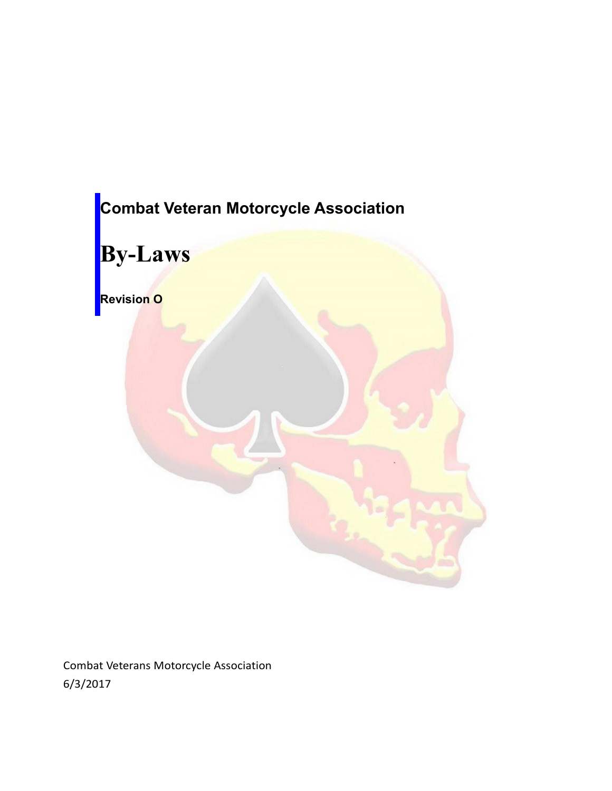

Combat Veterans Motorcycle Association 6/3/2017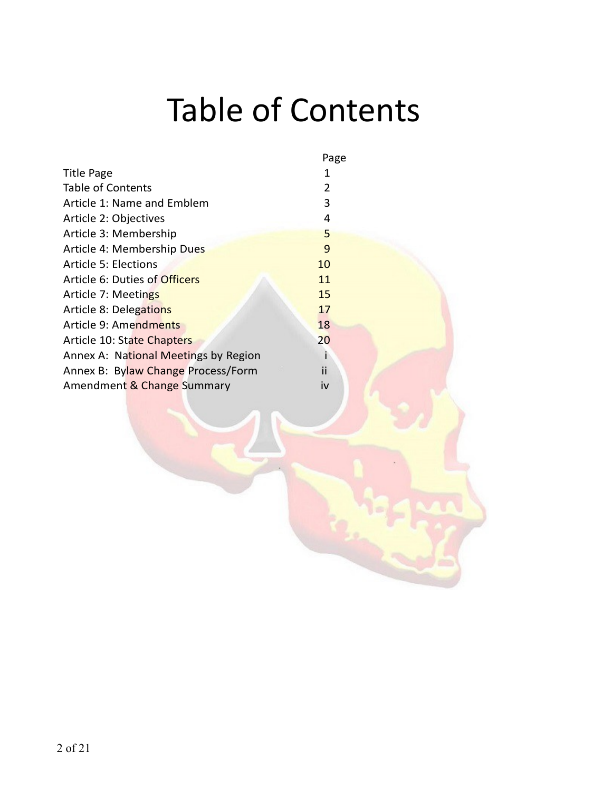# Table of Contents

|                                      | Page |  |
|--------------------------------------|------|--|
| <b>Title Page</b>                    | 1    |  |
| Table of Contents                    | 2    |  |
| Article 1: Name and Emblem           | 3    |  |
| Article 2: Objectives                | 4    |  |
| Article 3: Membership                | 5    |  |
| Article 4: Membership Dues           | 9    |  |
| <b>Article 5: Elections</b>          | 10   |  |
| Article 6: Duties of Officers        | 11   |  |
| Article 7: Meetings                  | 15   |  |
| Article 8: Delegations               | 17   |  |
| Article 9: Amendments                | 18   |  |
| Article 10: State Chapters           | 20   |  |
| Annex A: National Meetings by Region |      |  |
| Annex B: Bylaw Change Process/Form   | ii   |  |
| Amendment & Change Summary           | iv   |  |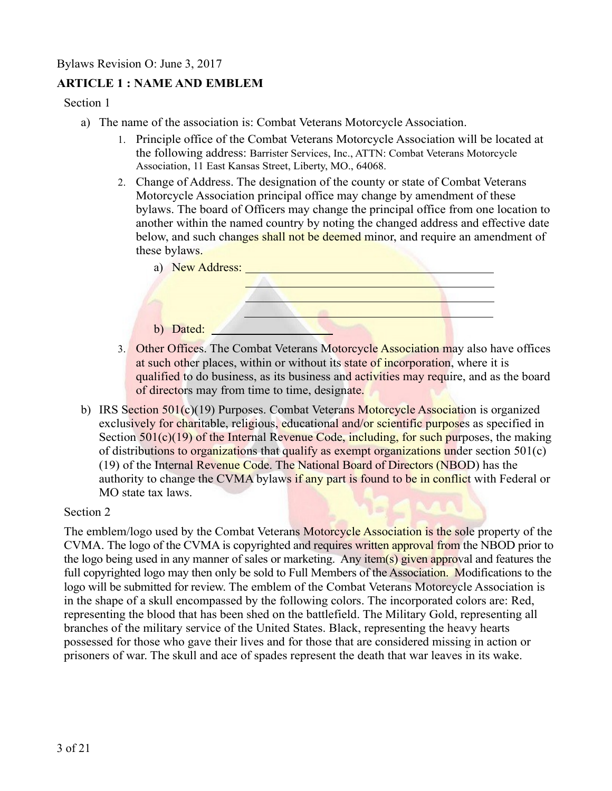# **ARTICLE 1 : NAME AND EMBLEM**

Section 1

- a) The name of the association is: Combat Veterans Motorcycle Association.
	- 1. Principle office of the Combat Veterans Motorcycle Association will be located at the following address: Barrister Services, Inc., ATTN: Combat Veterans Motorcycle Association, 11 East Kansas Street, Liberty, MO., 64068.
	- 2. Change of Address. The designation of the county or state of Combat Veterans Motorcycle Association principal office may change by amendment of these bylaws. The board of Officers may change the principal office from one location to another within the named country by noting the changed address and effective date below, and such changes shall not be deemed minor, and require an amendment of these bylaws.



- 3. Other Offices. The Combat Veterans Motorcycle Association may also have offices at such other places, within or without its state of incorporation, where it is qualified to do business, as its business and activities may require, and as the board of directors may from time to time, designate.
- b) IRS Section 501(c)(19) Purposes. Combat Veterans Motorcycle Association is organized exclusively for charitable, religious, educational and/or scientific purposes as specified in Section  $501(c)(19)$  of the Internal Revenue Code, including, for such purposes, the making of distributions to organizations that qualify as exempt organizations under section 501(c) (19) of the Internal Revenue Code. The National Board of Directors (NBOD) has the authority to change the CVMA bylaws if any part is found to be in conflict with Federal or MO state tax laws.

Section 2

The emblem/logo used by the Combat Veterans Motorcycle Association is the sole property of the CVMA. The logo of the CVMA is copyrighted and requires written approval from the NBOD prior to the logo being used in any manner of sales or marketing. Any item(s) given approval and features the full copyrighted logo may then only be sold to Full Members of the Association. Modifications to the logo will be submitted for review. The emblem of the Combat Veterans Motorcycle Association is in the shape of a skull encompassed by the following colors. The incorporated colors are: Red, representing the blood that has been shed on the battlefield. The Military Gold, representing all branches of the military service of the United States. Black, representing the heavy hearts possessed for those who gave their lives and for those that are considered missing in action or prisoners of war. The skull and ace of spades represent the death that war leaves in its wake.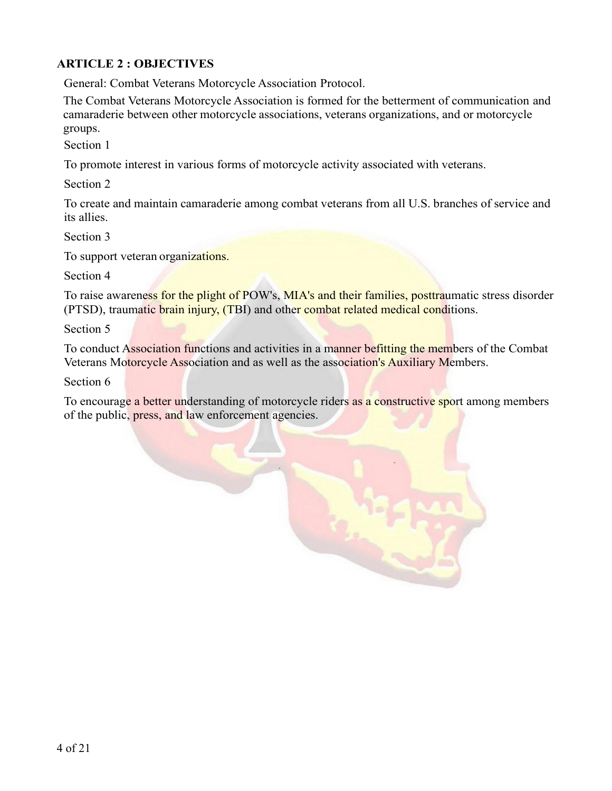# **ARTICLE 2 : OBJECTIVES**

General: Combat Veterans Motorcycle Association Protocol.

The Combat Veterans Motorcycle Association is formed for the betterment of communication and camaraderie between other motorcycle associations, veterans organizations, and or motorcycle groups.

Section 1

To promote interest in various forms of motorcycle activity associated with veterans.

Section 2

To create and maintain camaraderie among combat veterans from all U.S. branches of service and its allies.

Section 3

To support veteran organizations.

Section 4

To raise awareness for the plight of POW's, MIA's and their families, posttraumatic stress disorder (PTSD), traumatic brain injury, (TBI) and other combat related medical conditions.

Section 5

To conduct Association functions and activities in a manner befitting the members of the Combat Veterans Motorcycle Association and as well as the association's Auxiliary Members.

Section 6

To encourage a better understanding of motorcycle riders as a constructive sport among members of the public, press, and law enforcement agencies.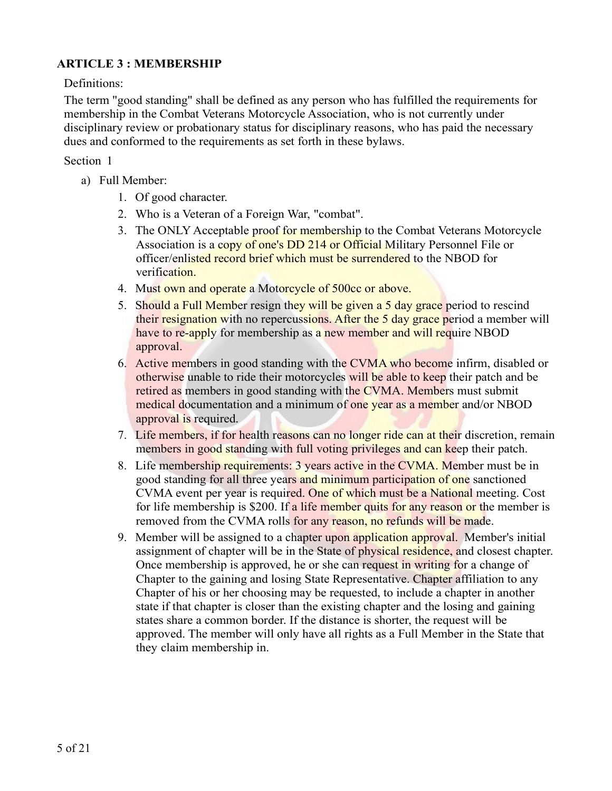# **ARTICLE 3 : MEMBERSHIP**

#### Definitions:

The term "good standing" shall be defined as any person who has fulfilled the requirements for membership in the Combat Veterans Motorcycle Association, who is not currently under disciplinary review or probationary status for disciplinary reasons, who has paid the necessary dues and conformed to the requirements as set forth in these bylaws.

#### Section 1

- a) Full Member:
	- 1. Of good character.
	- 2. Who is a Veteran of a Foreign War, "combat".
	- 3. The ONLY Acceptable proof for membership to the Combat Veterans Motorcycle Association is a copy of one's DD 214 or Official Military Personnel File or officer/enlisted record brief which must be surrendered to the NBOD for verification.
	- 4. Must own and operate a Motorcycle of 500cc or above.
	- 5. Should a Full Member resign they will be given a 5 day grace period to rescind their resignation with no repercussions. After the 5 day grace period a member will have to re-apply for membership as a new member and will require NBOD approval.
	- 6. Active members in good standing with the CVMA who become infirm, disabled or otherwise unable to ride their motorcycles will be able to keep their patch and be retired as members in good standing with the CVMA. Members must submit medical documentation and a minimum of one year as a member and/or NBOD approval is required.
	- 7. Life members, if for health reasons can no longer ride can at their discretion, remain members in good standing with full voting privileges and can keep their patch.
	- 8. Life membership requirements: 3 years active in the CVMA. Member must be in good standing for all three years and minimum participation of one sanctioned CVMA event per year is required. One of which must be a National meeting. Cost for life membership is \$200. If a life member quits for any reason or the member is removed from the CVMA rolls for any reason, no refunds will be made.
	- 9. Member will be assigned to a chapter upon application approval. Member's initial assignment of chapter will be in the State of physical residence, and closest chapter. Once membership is approved, he or she can request in writing for a change of Chapter to the gaining and losing State Representative. Chapter affiliation to any Chapter of his or her choosing may be requested, to include a chapter in another state if that chapter is closer than the existing chapter and the losing and gaining states share a common border. If the distance is shorter, the request will be approved. The member will only have all rights as a Full Member in the State that they claim membership in.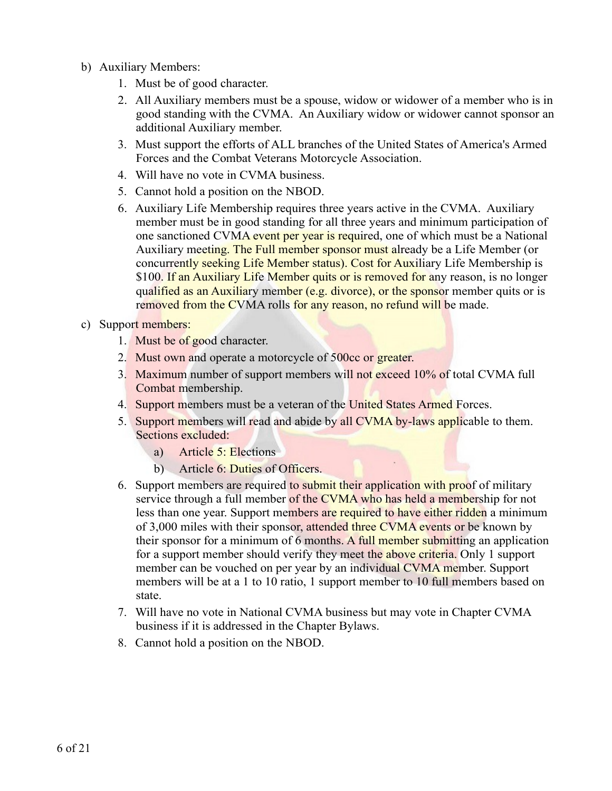- b) Auxiliary Members:
	- 1. Must be of good character.
	- 2. All Auxiliary members must be a spouse, widow or widower of a member who is in good standing with the CVMA. An Auxiliary widow or widower cannot sponsor an additional Auxiliary member.
	- 3. Must support the efforts of ALL branches of the United States of America's Armed Forces and the Combat Veterans Motorcycle Association.
	- 4. Will have no vote in CVMA business.
	- 5. Cannot hold a position on the NBOD.
	- 6. Auxiliary Life Membership requires three years active in the CVMA. Auxiliary member must be in good standing for all three years and minimum participation of one sanctioned CVMA event per year is required, one of which must be a National Auxiliary meeting. The Full member sponsor must already be a Life Member (or concurrently seeking Life Member status). Cost for Auxiliary Life Membership is \$100. If an Auxiliary Life Member quits or is removed for any reason, is no longer qualified as an Auxiliary member (e.g. divorce), or the sponsor member quits or is removed from the CVMA rolls for any reason, no refund will be made.
- c) Support members:
	- 1. Must be of good character.
	- 2. Must own and operate a motorcycle of 500cc or greater.
	- 3. Maximum number of support members will not exceed 10% of total CVMA full Combat membership.
	- 4. Support members must be a veteran of the United States Armed Forces.
	- 5. Support members will read and abide by all CVMA by-laws applicable to them. Sections excluded:
		- a) Article 5: Elections
		- b) Article 6: Duties of Officers.
	- 6. Support members are required to submit their application with proof of military service through a full member of the CVMA who has held a membership for not less than one year. Support members are required to have either ridden a minimum of 3,000 miles with their sponsor, attended three CVMA events or be known by their sponsor for a minimum of 6 months. A full member submitting an application for a support member should verify they meet the above criteria. Only 1 support member can be vouched on per year by an individual CVMA member. Support members will be at a 1 to 10 ratio, 1 support member to 10 full members based on state.
	- 7. Will have no vote in National CVMA business but may vote in Chapter CVMA business if it is addressed in the Chapter Bylaws.
	- 8. Cannot hold a position on the NBOD.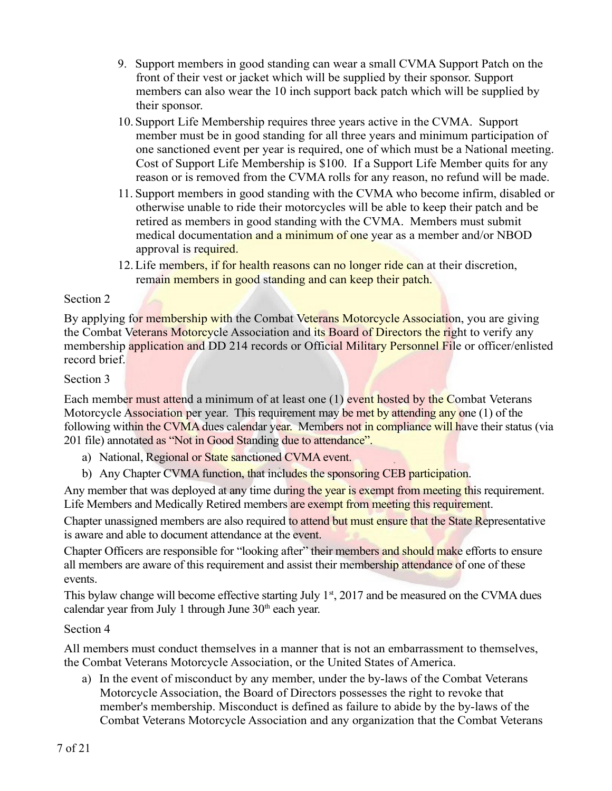- 9. Support members in good standing can wear a small CVMA Support Patch on the front of their vest or jacket which will be supplied by their sponsor. Support members can also wear the 10 inch support back patch which will be supplied by their sponsor.
- 10.Support Life Membership requires three years active in the CVMA. Support member must be in good standing for all three years and minimum participation of one sanctioned event per year is required, one of which must be a National meeting. Cost of Support Life Membership is \$100. If a Support Life Member quits for any reason or is removed from the CVMA rolls for any reason, no refund will be made.
- 11. Support members in good standing with the CVMA who become infirm, disabled or otherwise unable to ride their motorcycles will be able to keep their patch and be retired as members in good standing with the CVMA. Members must submit medical documentation and a minimum of one year as a member and/or NBOD approval is required.
- 12. Life members, if for health reasons can no longer ride can at their discretion, remain members in good standing and can keep their patch.

#### Section 2

By applying for membership with the Combat Veterans Motorcycle Association, you are giving the Combat Veterans Motorcycle Association and its Board of Directors the right to verify any membership application and DD 214 records or Official Military Personnel File or officer/enlisted record brief.

#### Section 3

Each member must attend a minimum of at least one (1) event hosted by the Combat Veterans Motorcycle Association per year. This requirement may be met by attending any one (1) of the following within the CVMA dues calendar year. Members not in compliance will have their status (via 201 file) annotated as "Not in Good Standing due to attendance".

- a) National, Regional or State sanctioned CVMA event.
- b) Any Chapter CVMA function, that includes the sponsoring CEB participation.

Any member that was deployed at any time during the year is exempt from meeting this requirement. Life Members and Medically Retired members are exempt from meeting this requirement.

Chapter unassigned members are also required to attend but must ensure that the State Representative is aware and able to document attendance at the event.

Chapter Officers are responsible for "looking after" their members and should make efforts to ensure all members are aware of this requirement and assist their membership attendance of one of these events.

This bylaw change will become effective starting July  $1<sup>st</sup>$ , 2017 and be measured on the CVMA dues calendar year from July 1 through June  $30<sup>th</sup>$  each year.

# Section 4

All members must conduct themselves in a manner that is not an embarrassment to themselves, the Combat Veterans Motorcycle Association, or the United States of America.

a) In the event of misconduct by any member, under the by-laws of the Combat Veterans Motorcycle Association, the Board of Directors possesses the right to revoke that member's membership. Misconduct is defined as failure to abide by the by-laws of the Combat Veterans Motorcycle Association and any organization that the Combat Veterans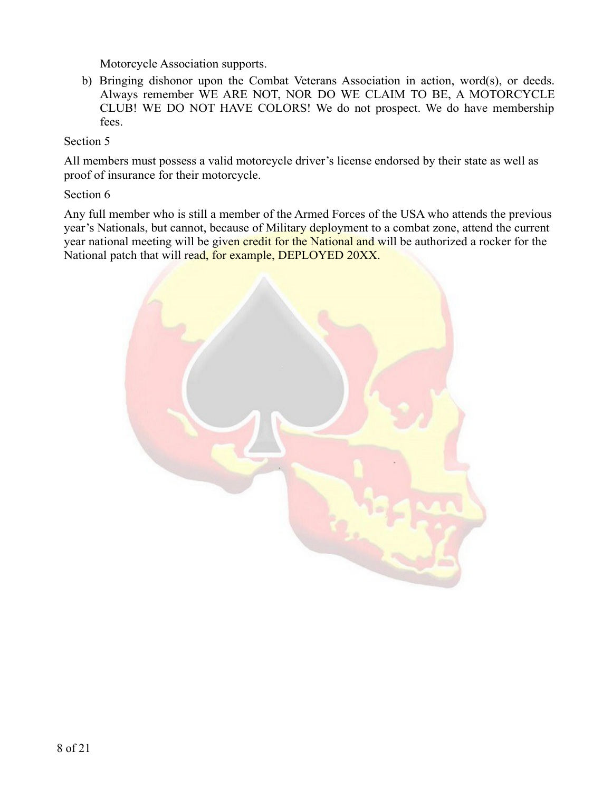Motorcycle Association supports.

b) Bringing dishonor upon the Combat Veterans Association in action, word(s), or deeds. Always remember WE ARE NOT, NOR DO WE CLAIM TO BE, A MOTORCYCLE CLUB! WE DO NOT HAVE COLORS! We do not prospect. We do have membership fees.

#### Section 5

All members must possess a valid motorcycle driver's license endorsed by their state as well as proof of insurance for their motorcycle.

#### Section 6

Any full member who is still a member of the Armed Forces of the USA who attends the previous year's Nationals, but cannot, because of Military deployment to a combat zone, attend the current year national meeting will be given credit for the National and will be authorized a rocker for the National patch that will read, for example, DEPLOYED 20XX.

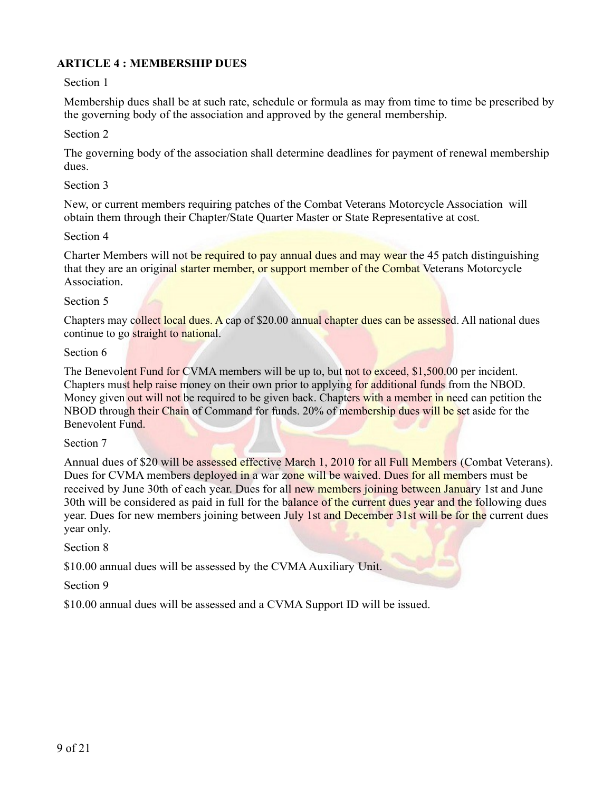# **ARTICLE 4 : MEMBERSHIP DUES**

#### Section 1

Membership dues shall be at such rate, schedule or formula as may from time to time be prescribed by the governing body of the association and approved by the general membership.

#### Section 2

The governing body of the association shall determine deadlines for payment of renewal membership dues.

#### Section 3

New, or current members requiring patches of the Combat Veterans Motorcycle Association will obtain them through their Chapter/State Quarter Master or State Representative at cost.

#### Section 4

Charter Members will not be required to pay annual dues and may wear the 45 patch distinguishing that they are an original starter member, or support member of the Combat Veterans Motorcycle Association.

#### Section 5

Chapters may collect local dues. A cap of \$20.00 annual chapter dues can be assessed. All national dues continue to go straight to national.

#### Section 6

The Benevolent Fund for CVMA members will be up to, but not to exceed, \$1,500.00 per incident. Chapters must help raise money on their own prior to applying for additional funds from the NBOD. Money given out will not be required to be given back. Chapters with a member in need can petition the NBOD through their Chain of Command for funds. 20% of membership dues will be set aside for the Benevolent Fund.

#### Section 7

Annual dues of \$20 will be assessed effective March 1, 2010 for all Full Members (Combat Veterans). Dues for CVMA members deployed in a war zone will be waived. Dues for all members must be received by June 30th of each year. Dues for all new members joining between January 1st and June 30th will be considered as paid in full for the balance of the current dues year and the following dues year. Dues for new members joining between July 1st and December 31st will be for the current dues year only.

#### Section 8

\$10.00 annual dues will be assessed by the CVMA Auxiliary Unit.

#### Section 9

\$10.00 annual dues will be assessed and a CVMA Support ID will be issued.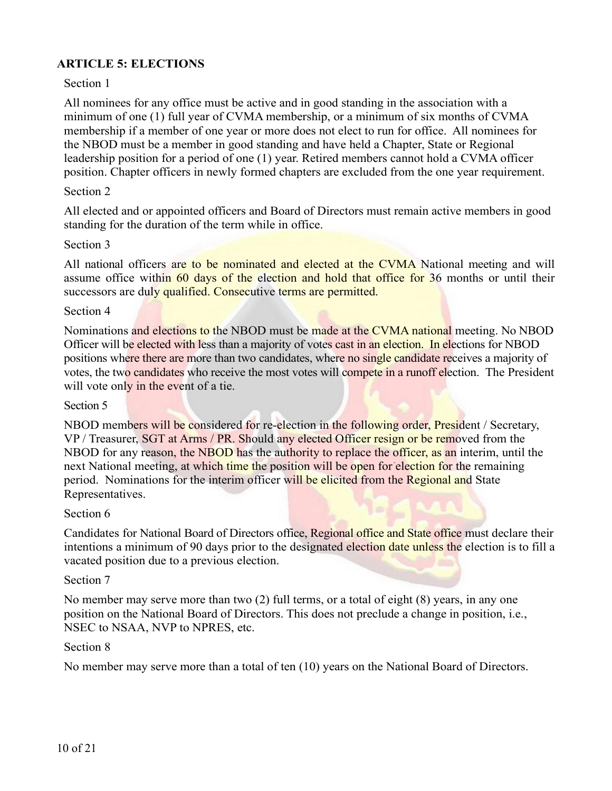# **ARTICLE 5: ELECTIONS**

#### Section 1

All nominees for any office must be active and in good standing in the association with a minimum of one (1) full year of CVMA membership, or a minimum of six months of CVMA membership if a member of one year or more does not elect to run for office. All nominees for the NBOD must be a member in good standing and have held a Chapter, State or Regional leadership position for a period of one (1) year. Retired members cannot hold a CVMA officer position. Chapter officers in newly formed chapters are excluded from the one year requirement.

#### Section 2

All elected and or appointed officers and Board of Directors must remain active members in good standing for the duration of the term while in office.

#### Section 3

All national officers are to be nominated and elected at the CVMA National meeting and will assume office within 60 days of the election and hold that office for 36 months or until their successors are duly qualified. Consecutive terms are permitted.

#### Section 4

Nominations and elections to the NBOD must be made at the CVMA national meeting. No NBOD Officer will be elected with less than a majority of votes cast in an election. In elections for NBOD positions where there are more than two candidates, where no single candidate receives a majority of votes, the two candidates who receive the most votes will compete in a runoff election. The President will vote only in the event of a tie.

#### Section 5

NBOD members will be considered for re-election in the following order, President / Secretary, VP / Treasurer, SGT at Arms / PR. Should any elected Officer resign or be removed from the NBOD for any reason, the NBOD has the authority to replace the officer, as an interim, until the next National meeting, at which time the position will be open for election for the remaining period. Nominations for the interim officer will be elicited from the Regional and State Representatives.

#### Section 6

Candidates for National Board of Directors office, Regional office and State office must declare their intentions a minimum of 90 days prior to the designated election date unless the election is to fill a vacated position due to a previous election.

#### Section 7

No member may serve more than two (2) full terms, or a total of eight (8) years, in any one position on the National Board of Directors. This does not preclude a change in position, i.e., NSEC to NSAA, NVP to NPRES, etc.

#### Section 8

No member may serve more than a total of ten (10) years on the National Board of Directors.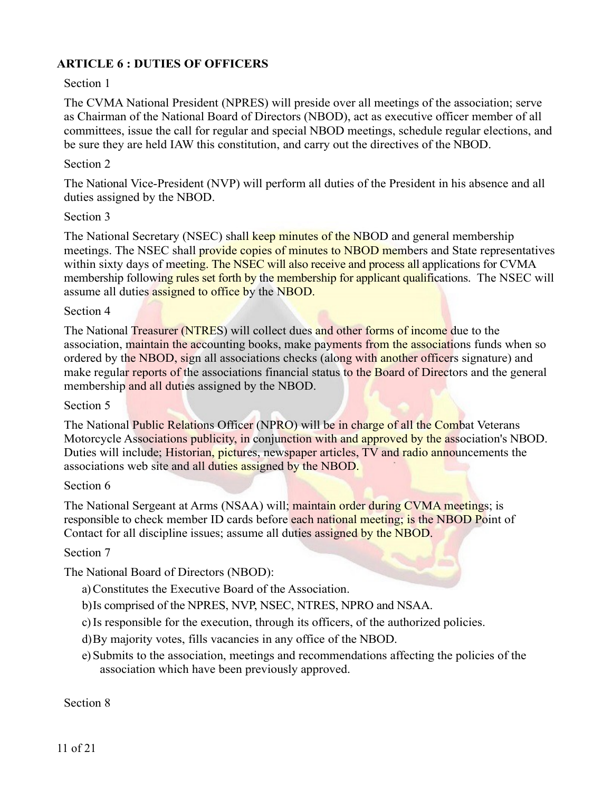# **ARTICLE 6 : DUTIES OF OFFICERS**

#### Section 1

The CVMA National President (NPRES) will preside over all meetings of the association; serve as Chairman of the National Board of Directors (NBOD), act as executive officer member of all committees, issue the call for regular and special NBOD meetings, schedule regular elections, and be sure they are held IAW this constitution, and carry out the directives of the NBOD.

#### Section 2

The National Vice-President (NVP) will perform all duties of the President in his absence and all duties assigned by the NBOD.

#### Section 3

The National Secretary (NSEC) shall keep minutes of the NBOD and general membership meetings. The NSEC shall provide copies of minutes to NBOD members and State representatives within sixty days of meeting. The NSEC will also receive and process all applications for CVMA membership following rules set forth by the membership for applicant qualifications. The NSEC will assume all duties assigned to office by the NBOD.

#### Section 4

The National Treasurer (NTRES) will collect dues and other forms of income due to the association, maintain the accounting books, make payments from the associations funds when so ordered by the NBOD, sign all associations checks (along with another officers signature) and make regular reports of the associations financial status to the Board of Directors and the general membership and all duties assigned by the NBOD.

#### Section 5

The National Public Relations Officer (NPRO) will be in charge of all the Combat Veterans Motorcycle Associations publicity, in conjunction with and approved by the association's NBOD. Duties will include; Historian, pictures, newspaper articles, TV and radio announcements the associations web site and all duties assigned by the NBOD.

#### Section 6

The National Sergeant at Arms (NSAA) will; maintain order during CVMA meetings; is responsible to check member ID cards before each national meeting; is the NBOD Point of Contact for all discipline issues; assume all duties assigned by the NBOD.

#### Section 7

The National Board of Directors (NBOD):

a)Constitutes the Executive Board of the Association.

- b)Is comprised of the NPRES, NVP, NSEC, NTRES, NPRO and NSAA.
- c)Is responsible for the execution, through its officers, of the authorized policies.
- d)By majority votes, fills vacancies in any office of the NBOD.
- e) Submits to the association, meetings and recommendations affecting the policies of the association which have been previously approved.

Section 8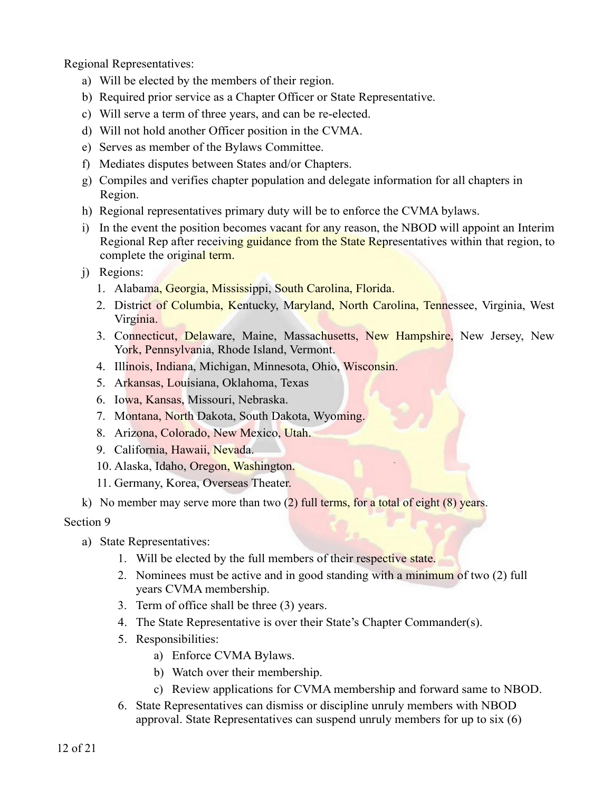Regional Representatives:

- a) Will be elected by the members of their region.
- b) Required prior service as a Chapter Officer or State Representative.
- c) Will serve a term of three years, and can be re-elected.
- d) Will not hold another Officer position in the CVMA.
- e) Serves as member of the Bylaws Committee.
- f) Mediates disputes between States and/or Chapters.
- g) Compiles and verifies chapter population and delegate information for all chapters in Region.
- h) Regional representatives primary duty will be to enforce the CVMA bylaws.
- i) In the event the position becomes vacant for any reason, the NBOD will appoint an Interim Regional Rep after receiving guidance from the State Representatives within that region, to complete the original term.
- j) Regions:
	- 1. Alabama, Georgia, Mississippi, South Carolina, Florida.
	- 2. District of Columbia, Kentucky, Maryland, North Carolina, Tennessee, Virginia, West Virginia.
	- 3. Connecticut, Delaware, Maine, Massachusetts, New Hampshire, New Jersey, New York, Pennsylvania, Rhode Island, Vermont.
	- 4. Illinois, Indiana, Michigan, Minnesota, Ohio, Wisconsin.
	- 5. Arkansas, Louisiana, Oklahoma, Texas
	- 6. Iowa, Kansas, Missouri, Nebraska.
	- 7. Montana, North Dakota, South Dakota, Wyoming.
	- 8. Arizona, Colorado, New Mexico, Utah.
	- 9. California, Hawaii, Nevada.
	- 10. Alaska, Idaho, Oregon, Washington.
	- 11. Germany, Korea, Overseas Theater.
- k) No member may serve more than two  $(2)$  full terms, for a total of eight  $(8)$  years.

# Section 9

- a) State Representatives:
	- 1. Will be elected by the full members of their respective state.
	- 2. Nominees must be active and in good standing with a minimum of two (2) full years CVMA membership.
	- 3. Term of office shall be three (3) years.
	- 4. The State Representative is over their State's Chapter Commander(s).
	- 5. Responsibilities:
		- a) Enforce CVMA Bylaws.
		- b) Watch over their membership.
		- c) Review applications for CVMA membership and forward same to NBOD.
	- 6. State Representatives can dismiss or discipline unruly members with NBOD approval. State Representatives can suspend unruly members for up to six (6)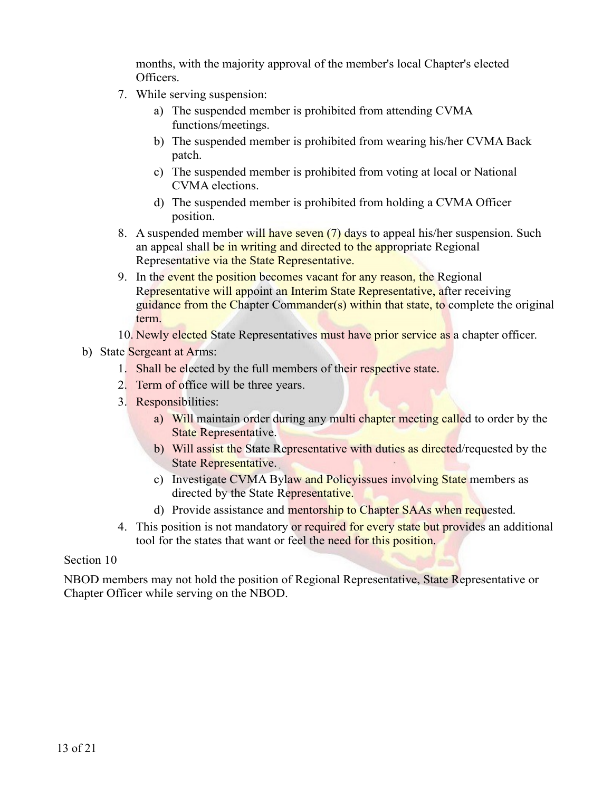months, with the majority approval of the member's local Chapter's elected Officers.

- 7. While serving suspension:
	- a) The suspended member is prohibited from attending CVMA functions/meetings.
	- b) The suspended member is prohibited from wearing his/her CVMA Back patch.
	- c) The suspended member is prohibited from voting at local or National CVMA elections.
	- d) The suspended member is prohibited from holding a CVMA Officer position.
- 8. A suspended member will have seven (7) days to appeal his/her suspension. Such an appeal shall be in writing and directed to the appropriate Regional Representative via the State Representative.
- 9. In the event the position becomes vacant for any reason, the Regional Representative will appoint an Interim State Representative, after receiving guidance from the Chapter Commander(s) within that state, to complete the original term.
- 10. Newly elected State Representatives must have prior service as a chapter officer.
- b) State Sergeant at Arms:
	- 1. Shall be elected by the full members of their respective state.
	- 2. Term of office will be three years.
	- 3. Responsibilities:
		- a) Will maintain order during any multi chapter meeting called to order by the State Representative.
		- b) Will assist the State Representative with duties as directed/requested by the State Representative.
		- c) Investigate CVMA Bylaw and Policyissues involving State members as directed by the State Representative.
		- d) Provide assistance and mentorship to Chapter SAAs when requested.
	- 4. This position is not mandatory or required for every state but provides an additional tool for the states that want or feel the need for this position.

#### Section 10

NBOD members may not hold the position of Regional Representative, State Representative or Chapter Officer while serving on the NBOD.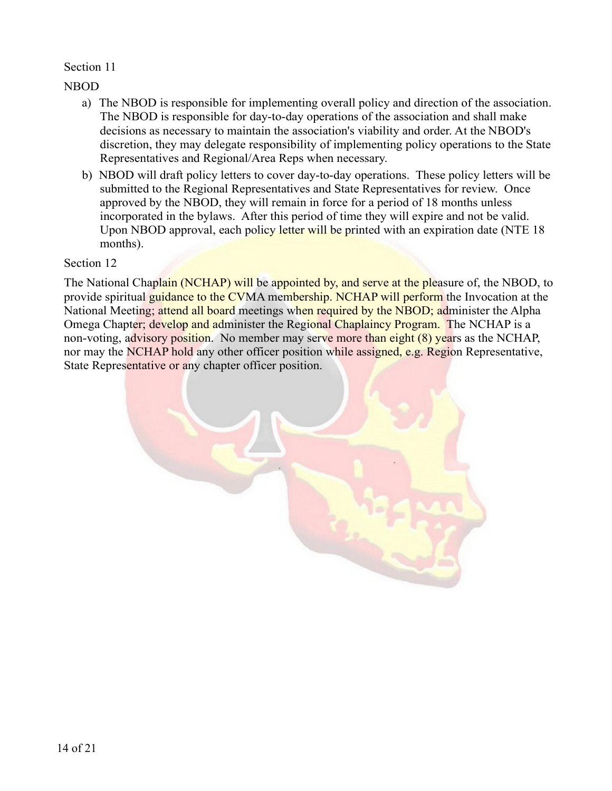#### Section 11

NBOD

- a) The NBOD is responsible for implementing overall policy and direction of the association. The NBOD is responsible for day-to-day operations of the association and shall make decisions as necessary to maintain the association's viability and order. At the NBOD's discretion, they may delegate responsibility of implementing policy operations to the State Representatives and Regional/Area Reps when necessary.
- b) NBOD will draft policy letters to cover day-to-day operations. These policy letters will be submitted to the Regional Representatives and State Representatives for review. Once approved by the NBOD, they will remain in force for a period of 18 months unless incorporated in the bylaws. After this period of time they will expire and not be valid. Upon NBOD approval, each policy letter will be printed with an expiration date (NTE 18) months).

#### Section 12

The National Chaplain (NCHAP) will be appointed by, and serve at the pleasure of, the NBOD, to provide spiritual guidance to the CVMA membership. NCHAP will perform the Invocation at the National Meeting; attend all board meetings when required by the NBOD; administer the Alpha Omega Chapter; develop and administer the Regional Chaplaincy Program. The NCHAP is a non-voting, advisory position. No member may serve more than eight (8) years as the NCHAP, nor may the NCHAP hold any other officer position while assigned, e.g. Region Representative, State Representative or any chapter officer position.

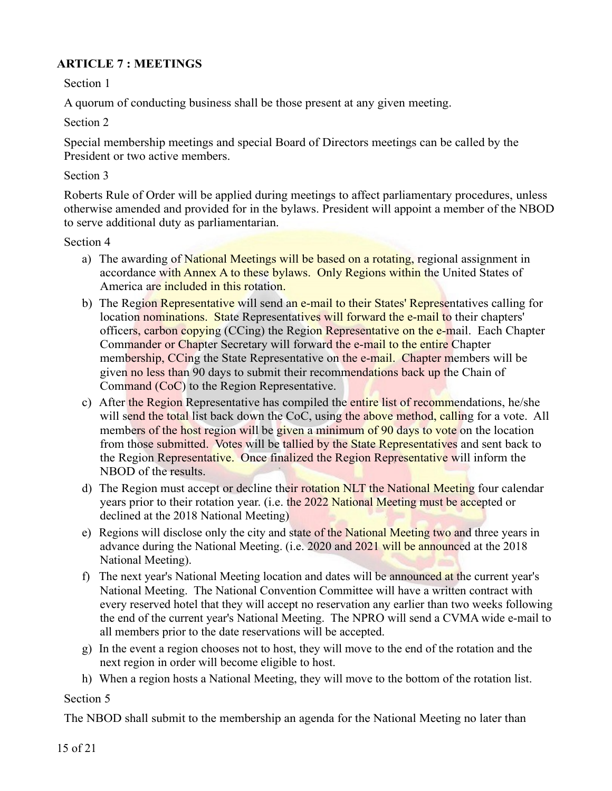# **ARTICLE 7 : MEETINGS**

Section 1

A quorum of conducting business shall be those present at any given meeting.

Section 2

Special membership meetings and special Board of Directors meetings can be called by the President or two active members.

#### Section 3

Roberts Rule of Order will be applied during meetings to affect parliamentary procedures, unless otherwise amended and provided for in the bylaws. President will appoint a member of the NBOD to serve additional duty as parliamentarian.

#### Section 4

- a) The awarding of National Meetings will be based on a rotating, regional assignment in accordance with Annex A to these bylaws. Only Regions within the United States of America are included in this rotation.
- b) The Region Representative will send an e-mail to their States' Representatives calling for location nominations. State Representatives will forward the e-mail to their chapters' officers, carbon copying (CCing) the Region Representative on the e-mail. Each Chapter Commander or Chapter Secretary will forward the e-mail to the entire Chapter membership, CCing the State Representative on the e-mail. Chapter members will be given no less than 90 days to submit their recommendations back up the Chain of Command (CoC) to the Region Representative.
- c) After the Region Representative has compiled the entire list of recommendations, he/she will send the total list back down the CoC, using the above method, calling for a vote. All members of the host region will be given a minimum of 90 days to vote on the location from those submitted. Votes will be tallied by the State Representatives and sent back to the Region Representative. Once finalized the Region Representative will inform the NBOD of the results.
- d) The Region must accept or decline their rotation NLT the National Meeting four calendar years prior to their rotation year. (i.e. the 2022 National Meeting must be accepted or declined at the 2018 National Meeting)
- e) Regions will disclose only the city and state of the National Meeting two and three years in advance during the National Meeting. (i.e. 2020 and 2021 will be announced at the 2018 National Meeting).
- f) The next year's National Meeting location and dates will be announced at the current year's National Meeting. The National Convention Committee will have a written contract with every reserved hotel that they will accept no reservation any earlier than two weeks following the end of the current year's National Meeting. The NPRO will send a CVMA wide e-mail to all members prior to the date reservations will be accepted.
- g) In the event a region chooses not to host, they will move to the end of the rotation and the next region in order will become eligible to host.
- h) When a region hosts a National Meeting, they will move to the bottom of the rotation list.

# Section 5

The NBOD shall submit to the membership an agenda for the National Meeting no later than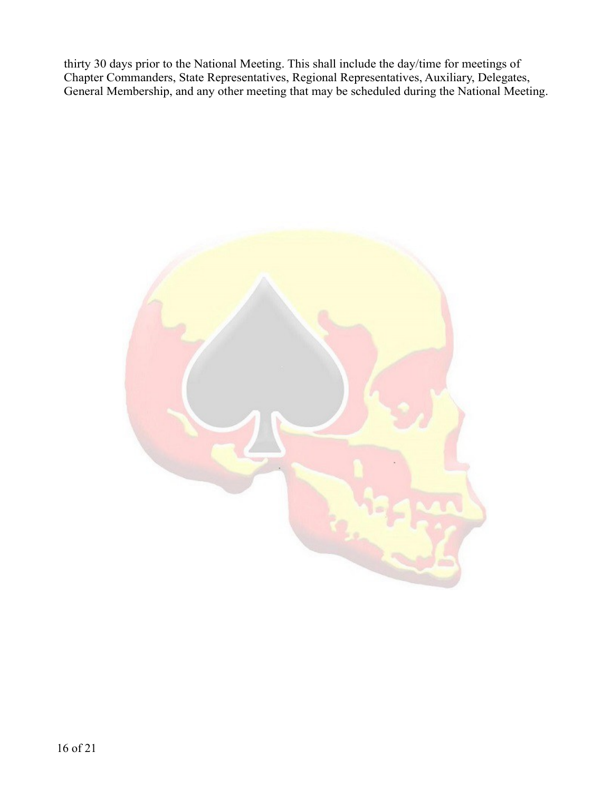thirty 30 days prior to the National Meeting. This shall include the day/time for meetings of Chapter Commanders, State Representatives, Regional Representatives, Auxiliary, Delegates, General Membership, and any other meeting that may be scheduled during the National Meeting.

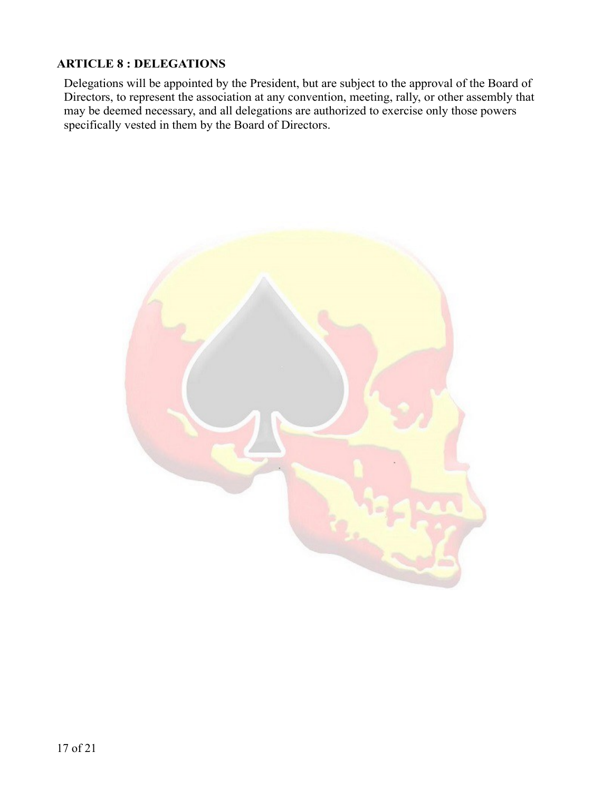# **ARTICLE 8 : DELEGATIONS**

Delegations will be appointed by the President, but are subject to the approval of the Board of Directors, to represent the association at any convention, meeting, rally, or other assembly that may be deemed necessary, and all delegations are authorized to exercise only those powers specifically vested in them by the Board of Directors.

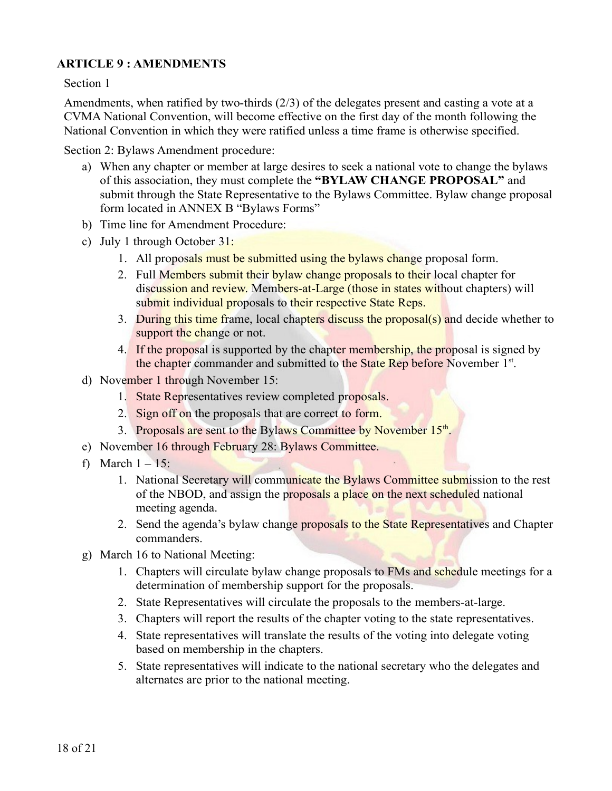# **ARTICLE 9 : AMENDMENTS**

Section 1

Amendments, when ratified by two-thirds (2/3) of the delegates present and casting a vote at a CVMA National Convention, will become effective on the first day of the month following the National Convention in which they were ratified unless a time frame is otherwise specified.

Section 2: Bylaws Amendment procedure:

- a) When any chapter or member at large desires to seek a national vote to change the bylaws of this association, they must complete the **"BYLAW CHANGE PROPOSAL"** and submit through the State Representative to the Bylaws Committee. Bylaw change proposal form located in ANNEX B "Bylaws Forms"
- b) Time line for Amendment Procedure:
- c) July 1 through October 31:
	- 1. All proposals must be submitted using the bylaws change proposal form.
	- 2. Full Members submit their bylaw change proposals to their local chapter for discussion and review. Members-at-Large (those in states without chapters) will submit individual proposals to their respective State Reps.
	- 3. During this time frame, local chapters discuss the proposal(s) and decide whether to support the change or not.
	- 4. If the proposal is supported by the chapter membership, the proposal is signed by the chapter commander and submitted to the State Rep before November 1<sup>st</sup>.
- d) November 1 through November 15:
	- 1. State Representatives review completed proposals.
	- 2. Sign off on the proposals that are correct to form.
	- 3. Proposals are sent to the Bylaws Committee by November 15<sup>th</sup>.
- e) November 16 through February 28: Bylaws Committee.
- f) March  $1 15$ :
	- 1. National Secretary will communicate the Bylaws Committee submission to the rest of the NBOD, and assign the proposals a place on the next scheduled national meeting agenda.
	- 2. Send the agenda's bylaw change proposals to the State Representatives and Chapter commanders.
- g) March 16 to National Meeting:
	- 1. Chapters will circulate bylaw change proposals to FMs and schedule meetings for a determination of membership support for the proposals.
	- 2. State Representatives will circulate the proposals to the members-at-large.
	- 3. Chapters will report the results of the chapter voting to the state representatives.
	- 4. State representatives will translate the results of the voting into delegate voting based on membership in the chapters.
	- 5. State representatives will indicate to the national secretary who the delegates and alternates are prior to the national meeting.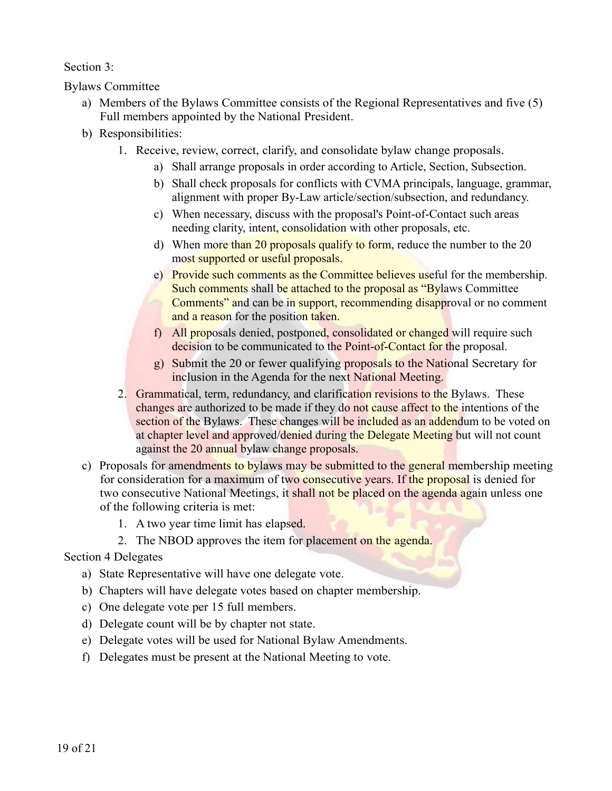Section 3:

Bylaws Committee

- a) Members of the Bylaws Committee consists of the Regional Representatives and five (5) Full members appointed by the National President.
- b) Responsibilities:
	- 1. Receive, review, correct, clarify, and consolidate bylaw change proposals.
		- a) Shall arrange proposals in order according to Article, Section, Subsection.
		- b) Shall check proposals for conflicts with CVMA principals, language, grammar, alignment with proper By-Law article/section/subsection, and redundancy.
		- c) When necessary, discuss with the proposal's Point-of-Contact such areas needing clarity, intent, consolidation with other proposals, etc.
		- d) When more than 20 proposals qualify to form, reduce the number to the 20 most supported or useful proposals.
		- e) Provide such comments as the Committee believes useful for the membership. Such comments shall be attached to the proposal as "Bylaws Committee Comments" and can be in support, recommending disapproval or no comment and a reason for the position taken.
		- f) All proposals denied, postponed, consolidated or changed will require such decision to be communicated to the Point-of-Contact for the proposal.
		- g) Submit the 20 or fewer qualifying proposals to the National Secretary for inclusion in the Agenda for the next National Meeting.
	- 2. Grammatical, term, redundancy, and clarification revisions to the Bylaws. These changes are authorized to be made if they do not cause affect to the intentions of the section of the Bylaws. These changes will be included as an addendum to be voted on at chapter level and approved/denied during the Delegate Meeting but will not count against the 20 annual bylaw change proposals.
- c) Proposals for amendments to bylaws may be submitted to the general membership meeting for consideration for a maximum of two consecutive years. If the proposal is denied for two consecutive National Meetings, it shall not be placed on the agenda again unless one of the following criteria is met:
	- 1. A two year time limit has elapsed.
	- 2. The NBOD approves the item for placement on the agenda.

# Section 4 Delegates

- a) State Representative will have one delegate vote.
- b) Chapters will have delegate votes based on chapter membership.
- c) One delegate vote per 15 full members.
- d) Delegate count will be by chapter not state.
- e) Delegate votes will be used for National Bylaw Amendments.
- f) Delegates must be present at the National Meeting to vote.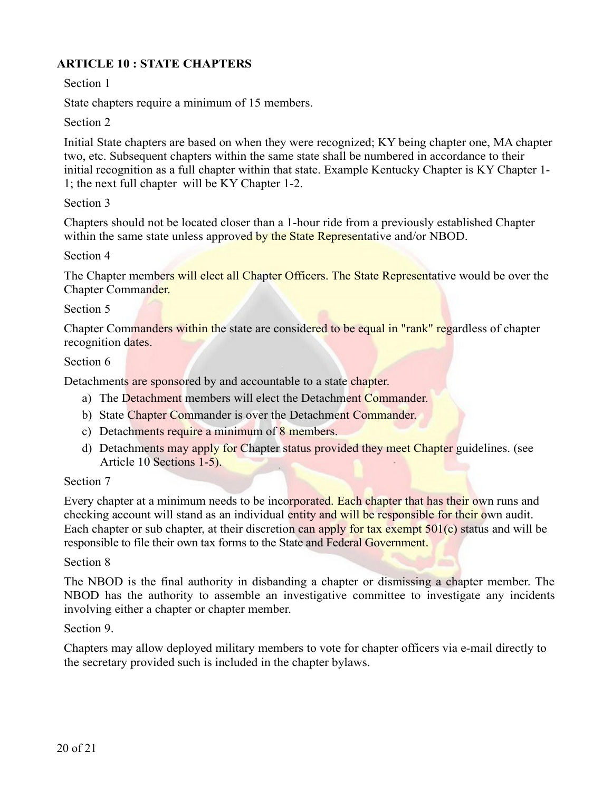# **ARTICLE 10 : STATE CHAPTERS**

Section 1

State chapters require a minimum of 15 members.

Section 2

Initial State chapters are based on when they were recognized; KY being chapter one, MA chapter two, etc. Subsequent chapters within the same state shall be numbered in accordance to their initial recognition as a full chapter within that state. Example Kentucky Chapter is KY Chapter 1- 1; the next full chapter will be KY Chapter 1-2.

#### Section 3

Chapters should not be located closer than a 1-hour ride from a previously established Chapter within the same state unless approved by the State Representative and/or NBOD.

#### Section 4

The Chapter members will elect all Chapter Officers. The State Representative would be over the Chapter Commander.

#### Section 5

Chapter Commanders within the state are considered to be equal in "rank" regardless of chapter recognition dates.

#### Section 6

Detachments are sponsored by and accountable to a state chapter.

- a) The Detachment members will elect the Detachment Commander.
- b) State Chapter Commander is over the Detachment Commander.
- c) Detachments require a minimum of 8 members.
- d) Detachments may apply for Chapter status provided they meet Chapter guidelines. (see Article 10 Sections 1-5).

#### Section 7

Every chapter at a minimum needs to be incorporated. Each chapter that has their own runs and checking account will stand as an individual entity and will be responsible for their own audit. Each chapter or sub chapter, at their discretion can apply for tax exempt  $501(c)$  status and will be responsible to file their own tax forms to the State and Federal Government.

#### Section 8

The NBOD is the final authority in disbanding a chapter or dismissing a chapter member. The NBOD has the authority to assemble an investigative committee to investigate any incidents involving either a chapter or chapter member.

Section 9.

Chapters may allow deployed military members to vote for chapter officers via e-mail directly to the secretary provided such is included in the chapter bylaws.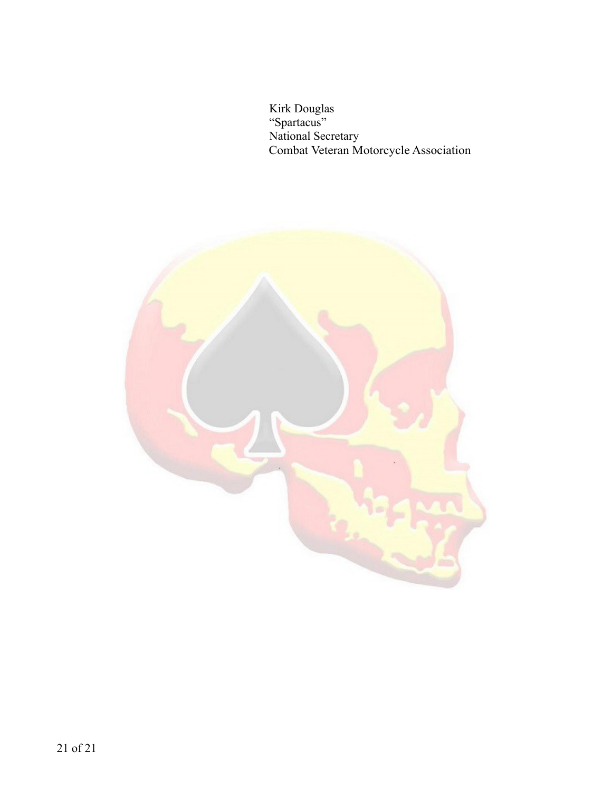Kirk Douglas "Spartacus" National Secretary Combat Veteran Motorcycle Association

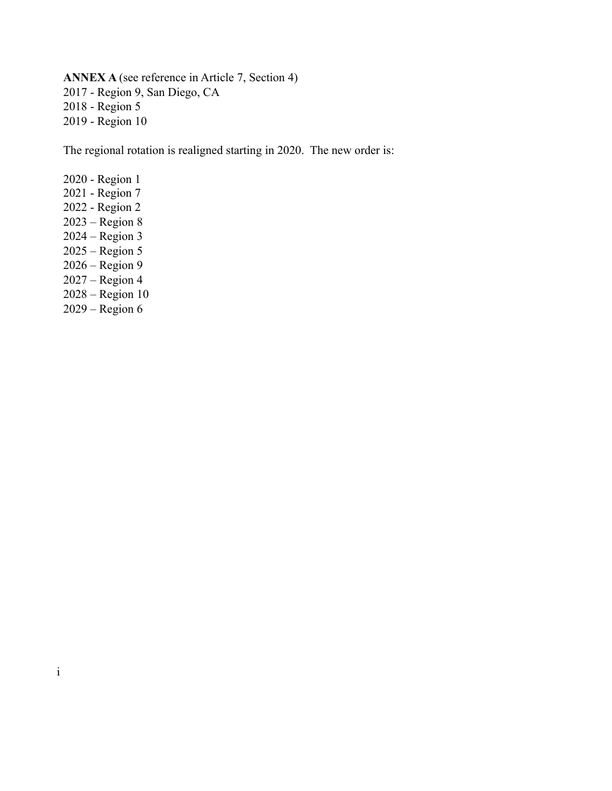**ANNEX A** (see reference in Article 7, Section 4) 2017 - Region 9, San Diego, CA 2018 - Region 5 2019 - Region 10

The regional rotation is realigned starting in 2020. The new order is:

2020 - Region 1 2021 - Region 7 2022 - Region 2 2023 – Region 8 2024 – Region 3 2025 – Region 5 2026 – Region 9 2027 – Region 4 2028 – Region 10 2029 – Region 6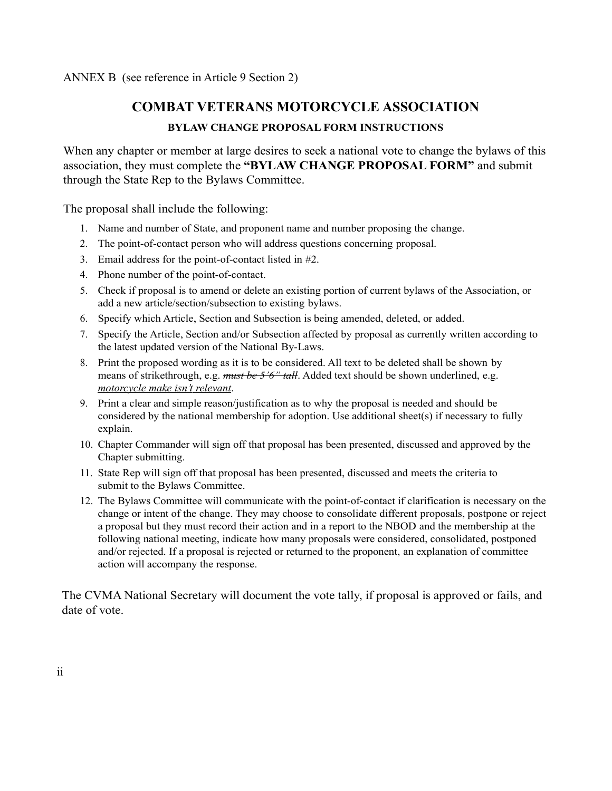ANNEX B (see reference in Article 9 Section 2)

# **COMBAT VETERANS MOTORCYCLE ASSOCIATION**

#### **BYLAW CHANGE PROPOSAL FORM INSTRUCTIONS**

When any chapter or member at large desires to seek a national vote to change the bylaws of this association, they must complete the **"BYLAW CHANGE PROPOSAL FORM"** and submit through the State Rep to the Bylaws Committee.

The proposal shall include the following:

- 1. Name and number of State, and proponent name and number proposing the change.
- 2. The point-of-contact person who will address questions concerning proposal.
- 3. Email address for the point-of-contact listed in #2.
- 4. Phone number of the point-of-contact.
- 5. Check if proposal is to amend or delete an existing portion of current bylaws of the Association, or add a new article/section/subsection to existing bylaws.
- 6. Specify which Article, Section and Subsection is being amended, deleted, or added.
- 7. Specify the Article, Section and/or Subsection affected by proposal as currently written according to the latest updated version of the National By-Laws.
- 8. Print the proposed wording as it is to be considered. All text to be deleted shall be shown by means of strikethrough, e.g. *must be 5'6" tall*. Added text should be shown underlined, e.g.  *motorcycle make isn't relevant*.
- 9. Print a clear and simple reason/justification as to why the proposal is needed and should be considered by the national membership for adoption. Use additional sheet(s) if necessary to fully explain.
- 10. Chapter Commander will sign off that proposal has been presented, discussed and approved by the Chapter submitting.
- 11. State Rep will sign off that proposal has been presented, discussed and meets the criteria to submit to the Bylaws Committee.
- 12. The Bylaws Committee will communicate with the point-of-contact if clarification is necessary on the change or intent of the change. They may choose to consolidate different proposals, postpone or reject a proposal but they must record their action and in a report to the NBOD and the membership at the following national meeting, indicate how many proposals were considered, consolidated, postponed and/or rejected. If a proposal is rejected or returned to the proponent, an explanation of committee action will accompany the response.

The CVMA National Secretary will document the vote tally, if proposal is approved or fails, and date of vote.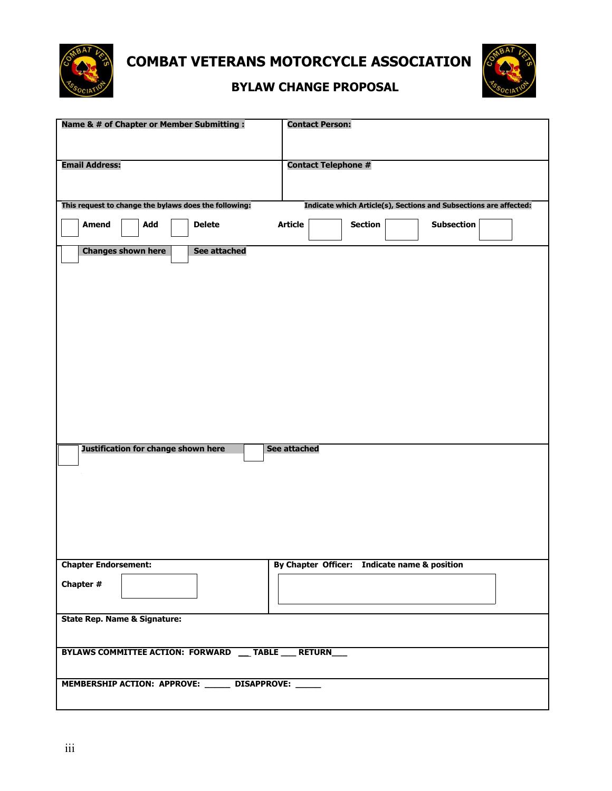

 **COMBAT VETERANS MOTORCYCLE ASSOCIATION**



# **BYLAW CHANGE PROPOSAL**

| Name & # of Chapter or Member Submitting :<br><b>Contact Person:</b> |     |                     |                                                                   |                            |                |  |                                              |  |  |  |
|----------------------------------------------------------------------|-----|---------------------|-------------------------------------------------------------------|----------------------------|----------------|--|----------------------------------------------|--|--|--|
| <b>Email Address:</b>                                                |     |                     |                                                                   | <b>Contact Telephone #</b> |                |  |                                              |  |  |  |
|                                                                      |     |                     |                                                                   |                            |                |  |                                              |  |  |  |
| This request to change the bylaws does the following:                |     |                     | Indicate which Article(s), Sections and Subsections are affected: |                            |                |  |                                              |  |  |  |
| <b>Amend</b>                                                         | Add | <b>Delete</b>       | <b>Article</b>                                                    |                            | <b>Section</b> |  | <b>Subsection</b>                            |  |  |  |
| <b>Changes shown here</b>                                            |     | <b>See attached</b> |                                                                   |                            |                |  |                                              |  |  |  |
|                                                                      |     |                     |                                                                   |                            |                |  |                                              |  |  |  |
|                                                                      |     |                     |                                                                   |                            |                |  |                                              |  |  |  |
|                                                                      |     |                     |                                                                   |                            |                |  |                                              |  |  |  |
|                                                                      |     |                     |                                                                   |                            |                |  |                                              |  |  |  |
|                                                                      |     |                     |                                                                   |                            |                |  |                                              |  |  |  |
|                                                                      |     |                     |                                                                   |                            |                |  |                                              |  |  |  |
|                                                                      |     |                     |                                                                   |                            |                |  |                                              |  |  |  |
|                                                                      |     |                     |                                                                   |                            |                |  |                                              |  |  |  |
| Justification for change shown here                                  |     |                     | See attached                                                      |                            |                |  |                                              |  |  |  |
|                                                                      |     |                     |                                                                   |                            |                |  |                                              |  |  |  |
|                                                                      |     |                     |                                                                   |                            |                |  |                                              |  |  |  |
|                                                                      |     |                     |                                                                   |                            |                |  |                                              |  |  |  |
|                                                                      |     |                     |                                                                   |                            |                |  |                                              |  |  |  |
| <b>Chapter Endorsement:</b>                                          |     |                     |                                                                   |                            |                |  | By Chapter Officer: Indicate name & position |  |  |  |
| Chapter #                                                            |     |                     |                                                                   |                            |                |  |                                              |  |  |  |
|                                                                      |     |                     |                                                                   |                            |                |  |                                              |  |  |  |
| <b>State Rep. Name &amp; Signature:</b>                              |     |                     |                                                                   |                            |                |  |                                              |  |  |  |
|                                                                      |     |                     |                                                                   |                            |                |  |                                              |  |  |  |
| BYLAWS COMMITTEE ACTION: FORWARD __ TABLE __ RETURN__                |     |                     |                                                                   |                            |                |  |                                              |  |  |  |
| MEMBERSHIP ACTION: APPROVE: ______ DISAPPROVE: _____                 |     |                     |                                                                   |                            |                |  |                                              |  |  |  |
|                                                                      |     |                     |                                                                   |                            |                |  |                                              |  |  |  |